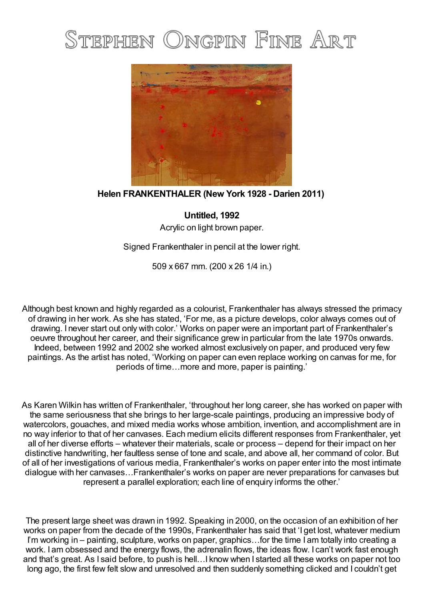## STEPHEN ONGPIN FINE ART



## **Helen FRANKENTHALER (New York 1928 - Darien 2011)**

**Untitled, 1992** Acrylic on light brown paper.

Signed Frankenthaler in pencil at the lower right.

509 x 667 mm. (200 x 26 1/4 in.)

Although best known and highly regarded as a colourist, Frankenthaler has always stressed the primacy of drawing in her work. As she has stated, 'For me, as a picture develops, color always comes out of drawing. I never start out only with color.' Works on paper were an important part of Frankenthaler's oeuvre throughout her career, and their significance grew in particular from the late 1970s onwards. Indeed, between 1992 and 2002 she worked almost exclusively on paper, and produced very few paintings. As the artist has noted, 'Working on paper can even replace working on canvas for me, for periods of time…more and more, paper is painting.'

As Karen Wilkin has written of Frankenthaler, 'throughout her long career, she has worked on paper with the same seriousness that she brings to her large-scale paintings, producing an impressive body of watercolors, gouaches, and mixed media works whose ambition, invention, and accomplishment are in no way inferior to that of her canvases. Each medium elicits different responses from Frankenthaler, yet all of her diverse efforts – whatever their materials, scale or process – depend for their impact on her distinctive handwriting, her faultless sense of tone and scale, and above all, her command of color. But of all of her investigations of various media, Frankenthaler's works on paper enter into the most intimate dialogue with her canvases…Frankenthaler's works on paper are never preparations for canvases but represent a parallel exploration; each line of enquiry informs the other.'

The present large sheet was drawn in 1992. Speaking in 2000, on the occasion of an exhibition of her works on paper from the decade of the 1990s, Frankenthaler has said that 'I get lost, whatever medium I'm working in – painting, sculpture, works on paper, graphics...for the time I am totally into creating a work. I am obsessed and the energy flows, the adrenalin flows, the ideas flow. I can't work fast enough and that's great. As I said before, to push is hell…I know when I started all these works on paper not too long ago, the first few felt slow and unresolved and then suddenly something clicked and I couldn't get